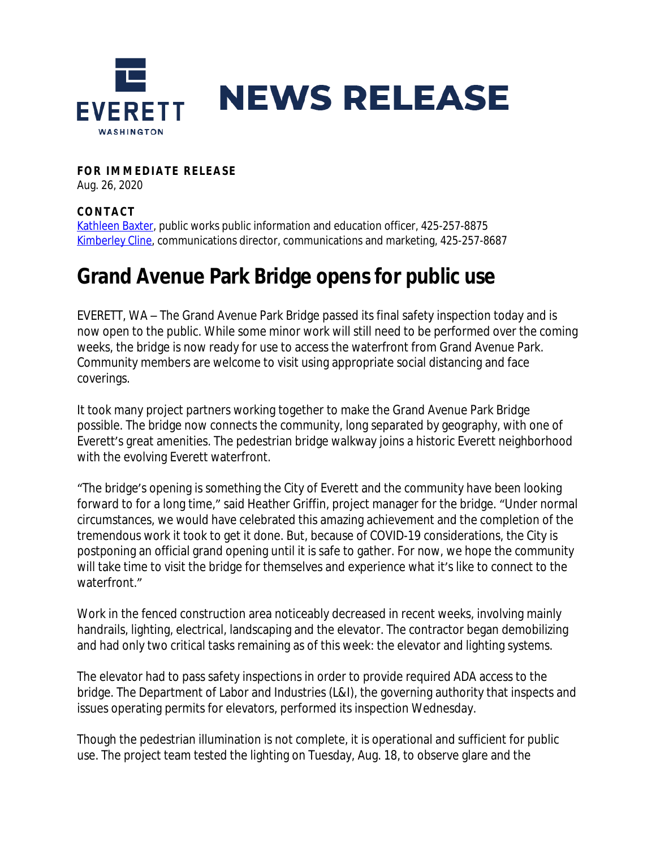

**FOR IMMEDIATE RELEASE** Aug. 26, 2020

## **CONTAC T**

[Kathleen Baxter](mailto:kbaxter@everettwa.gov), public works public information and education officer, 425-257-8875 [Kimberley Cline,](mailto:kcline@everettwa.gov) communications director, communications and marketing, 425-257-8687

## **Grand Avenue Park Bridge opens for public use**

EVERETT, WA – The Grand Avenue Park Bridge passed its final safety inspection today and is now open to the public. While some minor work will still need to be performed over the coming weeks, the bridge is now ready for use to access the waterfront from Grand Avenue Park. Community members are welcome to visit using appropriate social distancing and face coverings.

It took many project partners working together to make the Grand Avenue Park Bridge possible. The bridge now connects the community, long separated by geography, with one of Everett's great amenities. The pedestrian bridge walkway joins a historic Everett neighborhood with the evolving Everett waterfront.

"The bridge's opening is something the City of Everett and the community have been looking forward to for a long time," said Heather Griffin, project manager for the bridge. "Under normal circumstances, we would have celebrated this amazing achievement and the completion of the tremendous work it took to get it done. But, because of COVID-19 considerations, the City is postponing an official grand opening until it is safe to gather. For now, we hope the community will take time to visit the bridge for themselves and experience what it's like to connect to the waterfront."

Work in the fenced construction area noticeably decreased in recent weeks, involving mainly handrails, lighting, electrical, landscaping and the elevator. The contractor began demobilizing and had only two critical tasks remaining as of this week: the elevator and lighting systems.

The elevator had to pass safety inspections in order to provide required ADA access to the bridge. The Department of Labor and Industries (L&I), the governing authority that inspects and issues operating permits for elevators, performed its inspection Wednesday.

Though the pedestrian illumination is not complete, it is operational and sufficient for public use. The project team tested the lighting on Tuesday, Aug. 18, to observe glare and the